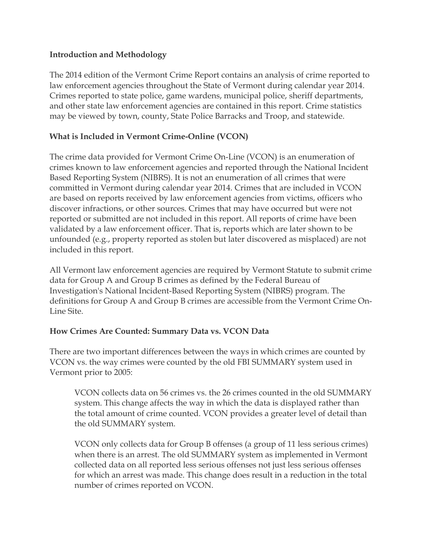### **Introduction and Methodology**

The 2014 edition of the Vermont Crime Report contains an analysis of crime reported to law enforcement agencies throughout the State of Vermont during calendar year 2014. Crimes reported to state police, game wardens, municipal police, sheriff departments, and other state law enforcement agencies are contained in this report. Crime statistics may be viewed by town, county, State Police Barracks and Troop, and statewide.

# **What is Included in Vermont Crime-Online (VCON)**

The crime data provided for Vermont Crime On-Line (VCON) is an enumeration of crimes known to law enforcement agencies and reported through the National Incident Based Reporting System (NIBRS). It is not an enumeration of all crimes that were committed in Vermont during calendar year 2014. Crimes that are included in VCON are based on reports received by law enforcement agencies from victims, officers who discover infractions, or other sources. Crimes that may have occurred but were not reported or submitted are not included in this report. All reports of crime have been validated by a law enforcement officer. That is, reports which are later shown to be unfounded (e.g., property reported as stolen but later discovered as misplaced) are not included in this report.

All Vermont law enforcement agencies are required by Vermont Statute to submit crime data for Group A and Group B crimes as defined by the Federal Bureau of Investigation's National Incident-Based Reporting System (NIBRS) program. The definitions for Group A and Group B crimes are accessible from the Vermont Crime On-Line Site.

### **How Crimes Are Counted: Summary Data vs. VCON Data**

There are two important differences between the ways in which crimes are counted by VCON vs. the way crimes were counted by the old FBI SUMMARY system used in Vermont prior to 2005:

VCON collects data on 56 crimes vs. the 26 crimes counted in the old SUMMARY system. This change affects the way in which the data is displayed rather than the total amount of crime counted. VCON provides a greater level of detail than the old SUMMARY system.

VCON only collects data for Group B offenses (a group of 11 less serious crimes) when there is an arrest. The old SUMMARY system as implemented in Vermont collected data on all reported less serious offenses not just less serious offenses for which an arrest was made. This change does result in a reduction in the total number of crimes reported on VCON.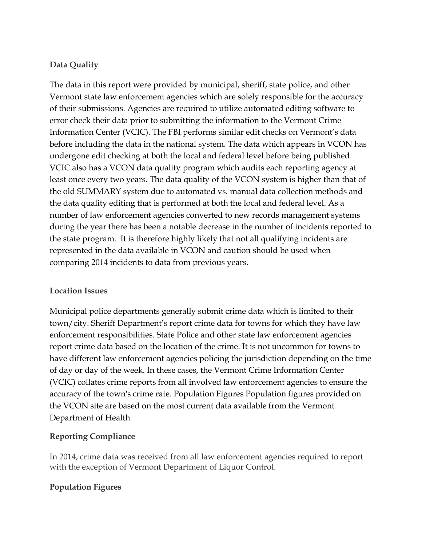# **Data Quality**

The data in this report were provided by municipal, sheriff, state police, and other Vermont state law enforcement agencies which are solely responsible for the accuracy of their submissions. Agencies are required to utilize automated editing software to error check their data prior to submitting the information to the Vermont Crime Information Center (VCIC). The FBI performs similar edit checks on Vermont's data before including the data in the national system. The data which appears in VCON has undergone edit checking at both the local and federal level before being published. VCIC also has a VCON data quality program which audits each reporting agency at least once every two years. The data quality of the VCON system is higher than that of the old SUMMARY system due to automated vs. manual data collection methods and the data quality editing that is performed at both the local and federal level. As a number of law enforcement agencies converted to new records management systems during the year there has been a notable decrease in the number of incidents reported to the state program. It is therefore highly likely that not all qualifying incidents are represented in the data available in VCON and caution should be used when comparing 2014 incidents to data from previous years.

### **Location Issues**

Municipal police departments generally submit crime data which is limited to their town/city. Sheriff Department's report crime data for towns for which they have law enforcement responsibilities. State Police and other state law enforcement agencies report crime data based on the location of the crime. It is not uncommon for towns to have different law enforcement agencies policing the jurisdiction depending on the time of day or day of the week. In these cases, the Vermont Crime Information Center (VCIC) collates crime reports from all involved law enforcement agencies to ensure the accuracy of the town's crime rate. Population Figures Population figures provided on the VCON site are based on the most current data available from the Vermont Department of Health.

### **Reporting Compliance**

In 2014, crime data was received from all law enforcement agencies required to report with the exception of Vermont Department of Liquor Control.

### **Population Figures**